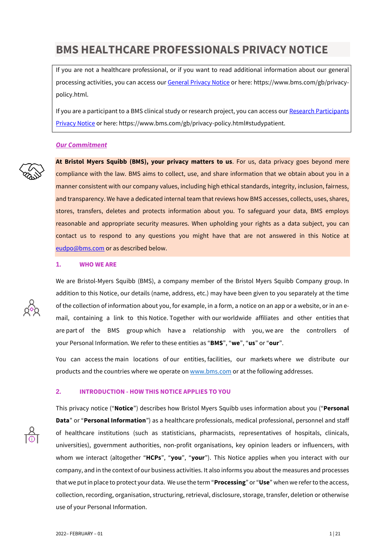# **BMS HEALTHCARE PROFESSIONALS PRIVACY NOTICE**

If you are not a healthcare professional, or if you want to read additional information about our general processing activities, you can access ou[r General Privacy Notice](https://www.bms.com/gb/privacy-policy.html) or here: https://www.bms.com/gb/privacypolicy.html.

If you are a participant to a BMS clinical study or research project, you can access our Research Participants [Privacy Notice](https://www.bms.com/gb/privacy-policy.html#studypatient) or here: https://www.bms.com/gb/privacy-policy.html#studypatient.

#### *Our Commitment*



**At Bristol Myers Squibb (BMS), your privacy matters to us**. For us, data privacy goes beyond mere compliance with the law. BMS aims to collect, use, and share information that we obtain about you in a manner consistent with our company values, including high ethical standards, integrity, inclusion, fairness, and transparency. We have a dedicated internal team that reviews how BMS accesses, collects, uses, shares, stores, transfers, deletes and protects information about you. To safeguard your data, BMS employs reasonable and appropriate security measures. When upholding your rights as a data subject, you can contact us to respond to any questions you might have that are not answered in this Notice at [eudpo@bms.com](mailto:eudpo@bms.com) or as described below.

## **1. WHO WE ARE**



You can access the main locations of our entities, facilities, our markets where we distribute our products and the countries where we operate on [www.bms.com](http://www.bms.com/) or at the following addresses.

## **2. INTRODUCTION - HOW THIS NOTICE APPLIES TO YOU**

This privacy notice ("**Notice**") describes how Bristol Myers Squibb uses information about you ("**Personal Data**" or "**Personal Information**") as a healthcare professionals, medical professional, personnel and staff of healthcare institutions (such as statisticians, pharmacists, representatives of hospitals, clinicals, universities), government authorities, non-profit organisations, key opinion leaders or influencers, with whom we interact (altogether "**HCPs**", "**you**", "**your**"). This Notice applies when you interact with our company, and in the context of our business activities. It also informs you about the measures and processes that we put in place to protect your data. We use the term "**Processing**" or "**Use**" when we refer to the access, collection, recording, organisation, structuring, retrieval, disclosure, storage, transfer, deletion or otherwise use of your Personal Information.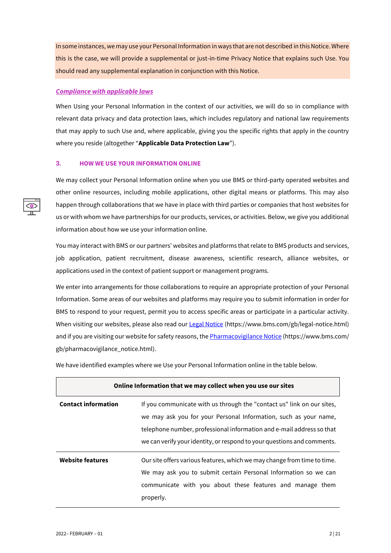In some instances, we may use your Personal Information in ways that are not described in this Notice. Where this is the case, we will provide a supplemental or just-in-time Privacy Notice that explains such Use. You should read any supplemental explanation in conjunction with this Notice.

## *Compliance with applicable laws*

When Using your Personal Information in the context of our activities, we will do so in compliance with relevant data privacy and data protection laws, which includes regulatory and national law requirements that may apply to such Use and, where applicable, giving you the specific rights that apply in the country where you reside (altogether "**Applicable Data Protection Law**").

## **3. HOW WE USE YOUR INFORMATION ONLINE**

We may collect your Personal Information online when you use BMS or third-party operated websites and other online resources, including mobile applications, other digital means or platforms. This may also happen through collaborations that we have in place with third parties or companies that host websites for us or with whom we have partnerships for our products, services, or activities. Below, we give you additional information about how we use your information online.

You may interact with BMS or our partners' websites and platforms that relate to BMS products and services, job application, patient recruitment, disease awareness, scientific research, alliance websites, or applications used in the context of patient support or management programs.

We enter into arrangements for those collaborations to require an appropriate protection of your Personal Information. Some areas of our websites and platforms may require you to submit information in order for BMS to respond to your request, permit you to access specific areas or participate in a particular activity. When visiting our websites, please also read our [Legal Notice](https://www.bms.com/gb/legal-notice.html) (https://www.bms.com/gb/legal-notice.html) and if you are visiting our website for safety reasons, th[e Pharmacovigilance Notice](https://www.bms.com/gb/pharmacovigilance_notice.html) (https://www.bms.com/ gb/pharmacovigilance\_notice.html).

We have identified examples where we Use your Personal Information online in the table below.

| Online Information that we may collect when you use our sites |                                                                                                                                                                                                                                                                                                |
|---------------------------------------------------------------|------------------------------------------------------------------------------------------------------------------------------------------------------------------------------------------------------------------------------------------------------------------------------------------------|
| <b>Contact information</b>                                    | If you communicate with us through the "contact us" link on our sites,<br>we may ask you for your Personal Information, such as your name,<br>telephone number, professional information and e-mail address so that<br>we can verify your identity, or respond to your questions and comments. |
| <b>Website features</b>                                       | Our site offers various features, which we may change from time to time.<br>We may ask you to submit certain Personal Information so we can<br>communicate with you about these features and manage them<br>properly.                                                                          |

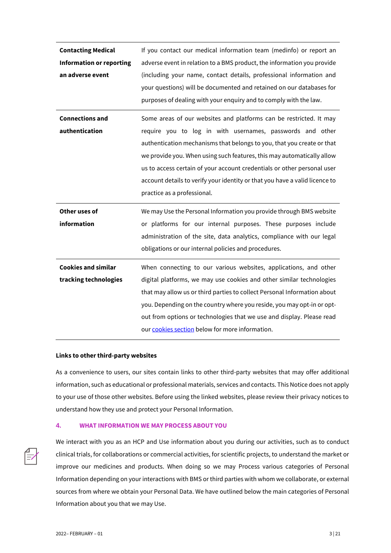| <b>Contacting Medical</b><br><b>Information or reporting</b><br>an adverse event | If you contact our medical information team (medinfo) or report an<br>adverse event in relation to a BMS product, the information you provide<br>(including your name, contact details, professional information and<br>your questions) will be documented and retained on our databases for<br>purposes of dealing with your enquiry and to comply with the law.                                                                                                            |
|----------------------------------------------------------------------------------|------------------------------------------------------------------------------------------------------------------------------------------------------------------------------------------------------------------------------------------------------------------------------------------------------------------------------------------------------------------------------------------------------------------------------------------------------------------------------|
| <b>Connections and</b><br>authentication                                         | Some areas of our websites and platforms can be restricted. It may<br>require you to log in with usernames, passwords and other<br>authentication mechanisms that belongs to you, that you create or that<br>we provide you. When using such features, this may automatically allow<br>us to access certain of your account credentials or other personal user<br>account details to verify your identity or that you have a valid licence to<br>practice as a professional. |
| Other uses of<br>information                                                     | We may Use the Personal Information you provide through BMS website<br>or platforms for our internal purposes. These purposes include<br>administration of the site, data analytics, compliance with our legal<br>obligations or our internal policies and procedures.                                                                                                                                                                                                       |
| <b>Cookies and similar</b><br>tracking technologies                              | When connecting to our various websites, applications, and other<br>digital platforms, we may use cookies and other similar technologies<br>that may allow us or third parties to collect Personal Information about<br>you. Depending on the country where you reside, you may opt-in or opt-<br>out from options or technologies that we use and display. Please read<br>our cookies section below for more information.                                                   |

#### **Links to other third-party websites**

As a convenience to users, our sites contain links to other third-party websites that may offer additional information, such as educational or professional materials, services and contacts. This Notice does not apply to your use of those other websites. Before using the linked websites, please review their privacy notices to understand how they use and protect your Personal Information.

#### **4. WHAT INFORMATION WE MAY PROCESS ABOUT YOU**



We interact with you as an HCP and Use information about you during our activities, such as to conduct clinical trials, for collaborations or commercial activities, for scientific projects, to understand the market or improve our medicines and products. When doing so we may Process various categories of Personal Information depending on your interactions with BMS or third parties with whom we collaborate, or external sources from where we obtain your Personal Data. We have outlined below the main categories of Personal Information about you that we may Use.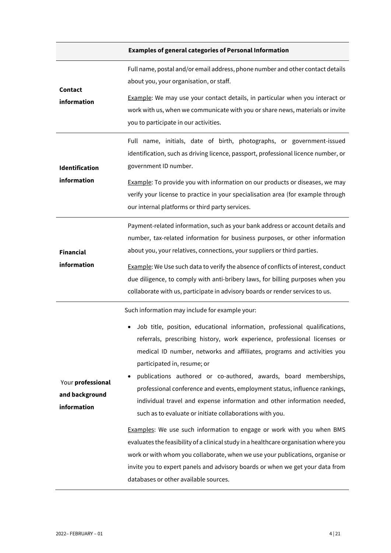## **Examples of general categories of Personal Information**

| <b>Contact</b><br>information                      | Full name, postal and/or email address, phone number and other contact details<br>about you, your organisation, or staff.<br><b>Example:</b> We may use your contact details, in particular when you interact or<br>work with us, when we communicate with you or share news, materials or invite<br>you to participate in our activities.                                                                                                                                                                                                                                                                                                                                                                                                                                                                                                                                                                                                                                               |
|----------------------------------------------------|------------------------------------------------------------------------------------------------------------------------------------------------------------------------------------------------------------------------------------------------------------------------------------------------------------------------------------------------------------------------------------------------------------------------------------------------------------------------------------------------------------------------------------------------------------------------------------------------------------------------------------------------------------------------------------------------------------------------------------------------------------------------------------------------------------------------------------------------------------------------------------------------------------------------------------------------------------------------------------------|
| Identification<br>information                      | Full name, initials, date of birth, photographs, or government-issued<br>identification, such as driving licence, passport, professional licence number, or<br>government ID number.<br><b>Example:</b> To provide you with information on our products or diseases, we may<br>verify your license to practice in your specialisation area (for example through<br>our internal platforms or third party services.                                                                                                                                                                                                                                                                                                                                                                                                                                                                                                                                                                       |
| <b>Financial</b><br>information                    | Payment-related information, such as your bank address or account details and<br>number, tax-related information for business purposes, or other information<br>about you, your relatives, connections, your suppliers or third parties.<br>Example: We Use such data to verify the absence of conflicts of interest, conduct<br>due diligence, to comply with anti-bribery laws, for billing purposes when you<br>collaborate with us, participate in advisory boards or render services to us.                                                                                                                                                                                                                                                                                                                                                                                                                                                                                         |
| Your professional<br>and background<br>information | Such information may include for example your:<br>Job title, position, educational information, professional qualifications,<br>referrals, prescribing history, work experience, professional licenses or<br>medical ID number, networks and affiliates, programs and activities you<br>participated in, resume; or<br>publications authored or co-authored, awards, board memberships,<br>professional conference and events, employment status, influence rankings,<br>individual travel and expense information and other information needed,<br>such as to evaluate or initiate collaborations with you.<br>Examples: We use such information to engage or work with you when BMS<br>evaluates the feasibility of a clinical study in a healthcare organisation where you<br>work or with whom you collaborate, when we use your publications, organise or<br>invite you to expert panels and advisory boards or when we get your data from<br>databases or other available sources. |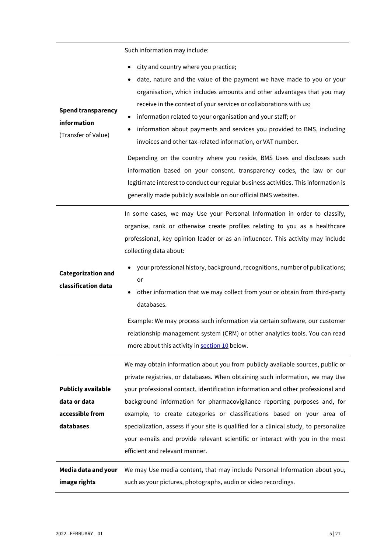| <b>Spend transparency</b><br>information<br>(Transfer of Value)           | Such information may include:<br>city and country where you practice;<br>٠<br>date, nature and the value of the payment we have made to you or your<br>organisation, which includes amounts and other advantages that you may<br>receive in the context of your services or collaborations with us;<br>information related to your organisation and your staff; or<br>٠<br>information about payments and services you provided to BMS, including<br>invoices and other tax-related information, or VAT number.<br>Depending on the country where you reside, BMS Uses and discloses such<br>information based on your consent, transparency codes, the law or our<br>legitimate interest to conduct our regular business activities. This information is<br>generally made publicly available on our official BMS websites.<br>In some cases, we may Use your Personal Information in order to classify, |
|---------------------------------------------------------------------------|-----------------------------------------------------------------------------------------------------------------------------------------------------------------------------------------------------------------------------------------------------------------------------------------------------------------------------------------------------------------------------------------------------------------------------------------------------------------------------------------------------------------------------------------------------------------------------------------------------------------------------------------------------------------------------------------------------------------------------------------------------------------------------------------------------------------------------------------------------------------------------------------------------------|
| <b>Categorization and</b><br>classification data                          | organise, rank or otherwise create profiles relating to you as a healthcare<br>professional, key opinion leader or as an influencer. This activity may include<br>collecting data about:<br>your professional history, background, recognitions, number of publications;<br>or<br>other information that we may collect from your or obtain from third-party<br>databases.<br>Example: We may process such information via certain software, our customer<br>relationship management system (CRM) or other analytics tools. You can read<br>more about this activity in section 10 below.                                                                                                                                                                                                                                                                                                                 |
| <b>Publicly available</b><br>data or data<br>accessible from<br>databases | We may obtain information about you from publicly available sources, public or<br>private registries, or databases. When obtaining such information, we may Use<br>your professional contact, identification information and other professional and<br>background information for pharmacovigilance reporting purposes and, for<br>example, to create categories or classifications based on your area of<br>specialization, assess if your site is qualified for a clinical study, to personalize<br>your e-mails and provide relevant scientific or interact with you in the most<br>efficient and relevant manner.                                                                                                                                                                                                                                                                                     |
| Media data and your<br>image rights                                       | We may Use media content, that may include Personal Information about you,<br>such as your pictures, photographs, audio or video recordings.                                                                                                                                                                                                                                                                                                                                                                                                                                                                                                                                                                                                                                                                                                                                                              |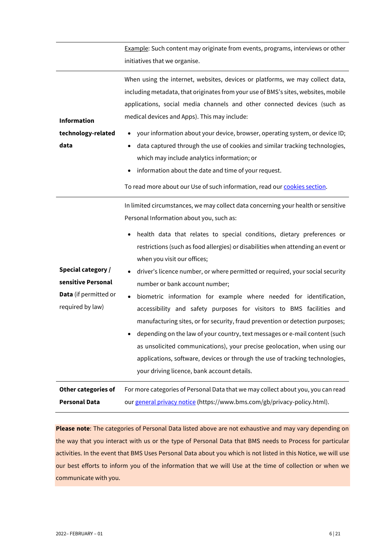|                                                                                       | Example: Such content may originate from events, programs, interviews or other<br>initiatives that we organise.                                                                                                                                                                                                                                                                                                                                                                                                                                                                                                                                                                                                                                                                                                                                                                                                                                                        |
|---------------------------------------------------------------------------------------|------------------------------------------------------------------------------------------------------------------------------------------------------------------------------------------------------------------------------------------------------------------------------------------------------------------------------------------------------------------------------------------------------------------------------------------------------------------------------------------------------------------------------------------------------------------------------------------------------------------------------------------------------------------------------------------------------------------------------------------------------------------------------------------------------------------------------------------------------------------------------------------------------------------------------------------------------------------------|
| <b>Information</b><br>technology-related<br>data                                      | When using the internet, websites, devices or platforms, we may collect data,<br>including metadata, that originates from your use of BMS's sites, websites, mobile<br>applications, social media channels and other connected devices (such as<br>medical devices and Apps). This may include:<br>your information about your device, browser, operating system, or device ID;<br>data captured through the use of cookies and similar tracking technologies,<br>$\bullet$<br>which may include analytics information; or<br>information about the date and time of your request.<br>To read more about our Use of such information, read our cookies section.                                                                                                                                                                                                                                                                                                        |
| Special category /<br>sensitive Personal<br>Data (if permitted or<br>required by law) | In limited circumstances, we may collect data concerning your health or sensitive<br>Personal Information about you, such as:<br>health data that relates to special conditions, dietary preferences or<br>restrictions (such as food allergies) or disabilities when attending an event or<br>when you visit our offices;<br>driver's licence number, or where permitted or required, your social security<br>number or bank account number;<br>biometric information for example where needed for identification,<br>accessibility and safety purposes for visitors to BMS facilities and<br>manufacturing sites, or for security, fraud prevention or detection purposes;<br>depending on the law of your country, text messages or e-mail content (such<br>as unsolicited communications), your precise geolocation, when using our<br>applications, software, devices or through the use of tracking technologies,<br>your driving licence, bank account details. |
| Other categories of<br><b>Personal Data</b>                                           | For more categories of Personal Data that we may collect about you, you can read<br>our general privacy notice (https://www.bms.com/gb/privacy-policy.html).                                                                                                                                                                                                                                                                                                                                                                                                                                                                                                                                                                                                                                                                                                                                                                                                           |
|                                                                                       |                                                                                                                                                                                                                                                                                                                                                                                                                                                                                                                                                                                                                                                                                                                                                                                                                                                                                                                                                                        |

**Please note**: The categories of Personal Data listed above are not exhaustive and may vary depending on the way that you interact with us or the type of Personal Data that BMS needs to Process for particular activities. In the event that BMS Uses Personal Data about you which is not listed in this Notice, we will use our best efforts to inform you of the information that we will Use at the time of collection or when we communicate with you.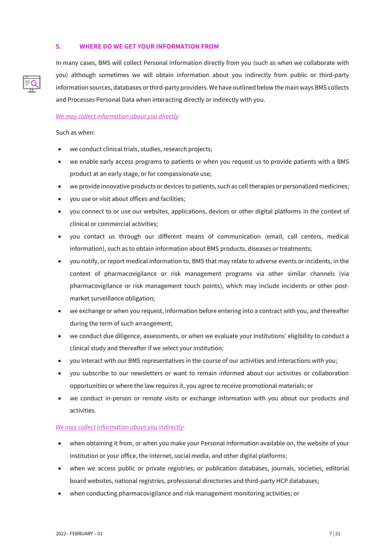## **5. WHERE DO WE GET YOUR INFORMATION FROM**

In many cases, BMS will collect Personal Information directly from you (such as when we collaborate with you) although sometimes we will obtain information about you indirectly from public or third-party information sources, databases or third-party providers. We have outlined below the main ways BMS collects and Processes Personal Data when interacting directly or indirectly with you.

#### *We may collect information about you directly:*

Such as when:

- we conduct clinical trials, studies, research projects;
- we enable early access programs to patients or when you request us to provide patients with a BMS product at an early stage, or for compassionate use;
- we provide innovative products or devices to patients, such as cell therapies or personalized medicines;
- you use or visit about offices and facilities;
- you connect to or use our websites, applications, devices or other digital platforms in the context of clinical or commercial activities;
- you contact us through our different means of communication (email, call centers, medical information), such as to obtain information about BMS products, diseases or treatments;
- you notify, or report medical information to, BMS that may relate to adverse events or incidents, in the context of pharmacovigilance or risk management programs via other similar channels (via pharmacovigilance or risk management touch points), which may include incidents or other postmarket surveillance obligation;
- we exchange or when you request, information before entering into a contract with you, and thereafter during the term of such arrangement;
- we conduct due diligence, assessments, or when we evaluate your institutions' eligibility to conduct a clinical study and thereafter if we select your institution;
- you interact with our BMS representatives in the course of our activities and interactions with you;
- you subscribe to our newsletters or want to remain informed about our activities or collaboration opportunities or where the law requires it, you agree to receive promotional materials; or
- we conduct in-person or remote visits or exchange information with you about our products and activities.

#### *We may collect Information about you indirectly:*

- when obtaining it from, or when you make your Personal Information available on, the website of your institution or your office, the Internet, social media, and other digital platforms;
- when we access public or private registries, or publication databases, journals, societies, editorial board websites, national registries, professional directories and third-party HCP databases;
- when conducting pharmacovigilance and risk management monitoring activities; or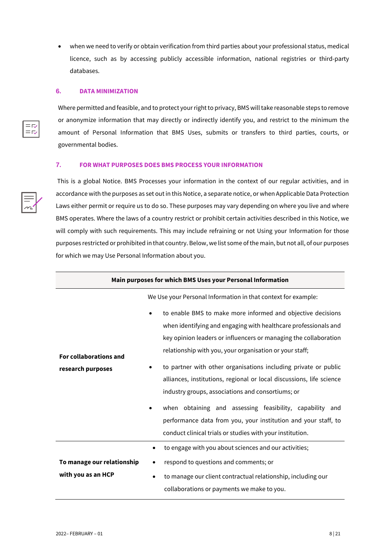when we need to verify or obtain verification from third parties about your professional status, medical licence, such as by accessing publicly accessible information, national registries or third-party databases.

#### **6. DATA MINIMIZATION**

 $=$ r $\triangledown$  $=$  $\overline{R}$  Where permitted and feasible, and to protect your right to privacy, BMS will take reasonable steps to remove or anonymize information that may directly or indirectly identify you, and restrict to the minimum the amount of Personal Information that BMS Uses, submits or transfers to third parties, courts, or governmental bodies.

## **7. FOR WHAT PURPOSES DOES BMS PROCESS YOUR INFORMATION**

This is a global Notice. BMS Processes your information in the context of our regular activities, and in accordance with the purposes as set out in this Notice, a separate notice, or when Applicable Data Protection Laws either permit or require us to do so. These purposes may vary depending on where you live and where BMS operates. Where the laws of a country restrict or prohibit certain activities described in this Notice, we will comply with such requirements. This may include refraining or not Using your Information for those purposes restricted or prohibited in that country. Below, we list some of the main, but not all, of our purposes for which we may Use Personal Information about you.

| Main purposes for which BMS Uses your Personal Information |                                                                                                                                                                                                                                                                                                                                                                                                                                                                            |
|------------------------------------------------------------|----------------------------------------------------------------------------------------------------------------------------------------------------------------------------------------------------------------------------------------------------------------------------------------------------------------------------------------------------------------------------------------------------------------------------------------------------------------------------|
|                                                            | We Use your Personal Information in that context for example:                                                                                                                                                                                                                                                                                                                                                                                                              |
| <b>For collaborations and</b><br>research purposes         | to enable BMS to make more informed and objective decisions<br>when identifying and engaging with healthcare professionals and<br>key opinion leaders or influencers or managing the collaboration<br>relationship with you, your organisation or your staff;<br>to partner with other organisations including private or public<br>$\bullet$<br>alliances, institutions, regional or local discussions, life science<br>industry groups, associations and consortiums; or |
|                                                            | when obtaining and assessing feasibility, capability and<br>$\bullet$<br>performance data from you, your institution and your staff, to<br>conduct clinical trials or studies with your institution.                                                                                                                                                                                                                                                                       |
|                                                            | to engage with you about sciences and our activities;<br>$\bullet$                                                                                                                                                                                                                                                                                                                                                                                                         |
| To manage our relationship                                 | respond to questions and comments; or<br>٠                                                                                                                                                                                                                                                                                                                                                                                                                                 |
| with you as an HCP                                         | to manage our client contractual relationship, including our<br>$\bullet$<br>collaborations or payments we make to you.                                                                                                                                                                                                                                                                                                                                                    |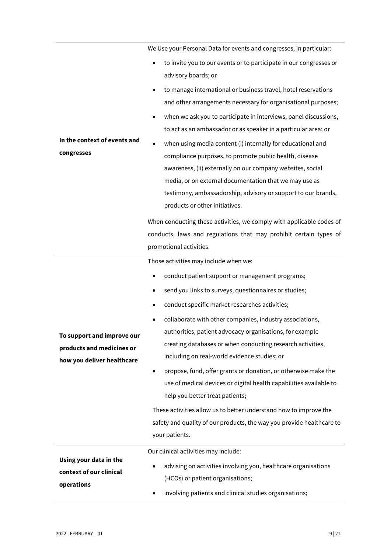|                                            | We Use your Personal Data for events and congresses, in particular:                                                                                                                                                                                                                                                                                           |
|--------------------------------------------|---------------------------------------------------------------------------------------------------------------------------------------------------------------------------------------------------------------------------------------------------------------------------------------------------------------------------------------------------------------|
|                                            | to invite you to our events or to participate in our congresses or<br>advisory boards; or                                                                                                                                                                                                                                                                     |
|                                            | to manage international or business travel, hotel reservations<br>and other arrangements necessary for organisational purposes;                                                                                                                                                                                                                               |
|                                            | when we ask you to participate in interviews, panel discussions,<br>٠<br>to act as an ambassador or as speaker in a particular area; or                                                                                                                                                                                                                       |
| In the context of events and<br>congresses | when using media content (i) internally for educational and<br>$\bullet$<br>compliance purposes, to promote public health, disease<br>awareness, (ii) externally on our company websites, social<br>media, or on external documentation that we may use as<br>testimony, ambassadorship, advisory or support to our brands,<br>products or other initiatives. |
|                                            | When conducting these activities, we comply with applicable codes of<br>conducts, laws and regulations that may prohibit certain types of<br>promotional activities.                                                                                                                                                                                          |
|                                            | Those activities may include when we:                                                                                                                                                                                                                                                                                                                         |
|                                            | conduct patient support or management programs;                                                                                                                                                                                                                                                                                                               |
|                                            | send you links to surveys, questionnaires or studies;<br>٠                                                                                                                                                                                                                                                                                                    |
|                                            | conduct specific market researches activities;                                                                                                                                                                                                                                                                                                                |
|                                            | collaborate with other companies, industry associations,                                                                                                                                                                                                                                                                                                      |
| To support and improve our                 | authorities, patient advocacy organisations, for example                                                                                                                                                                                                                                                                                                      |
| products and medicines or                  | creating databases or when conducting research activities,                                                                                                                                                                                                                                                                                                    |
| how you deliver healthcare                 | including on real-world evidence studies; or                                                                                                                                                                                                                                                                                                                  |
|                                            | propose, fund, offer grants or donation, or otherwise make the<br>use of medical devices or digital health capabilities available to                                                                                                                                                                                                                          |
|                                            | help you better treat patients;                                                                                                                                                                                                                                                                                                                               |
|                                            | These activities allow us to better understand how to improve the                                                                                                                                                                                                                                                                                             |
|                                            | safety and quality of our products, the way you provide healthcare to                                                                                                                                                                                                                                                                                         |
|                                            | your patients.                                                                                                                                                                                                                                                                                                                                                |
|                                            | Our clinical activities may include:                                                                                                                                                                                                                                                                                                                          |
| Using your data in the                     | advising on activities involving you, healthcare organisations                                                                                                                                                                                                                                                                                                |
| context of our clinical                    | (HCOs) or patient organisations;                                                                                                                                                                                                                                                                                                                              |
| operations                                 | involving patients and clinical studies organisations;                                                                                                                                                                                                                                                                                                        |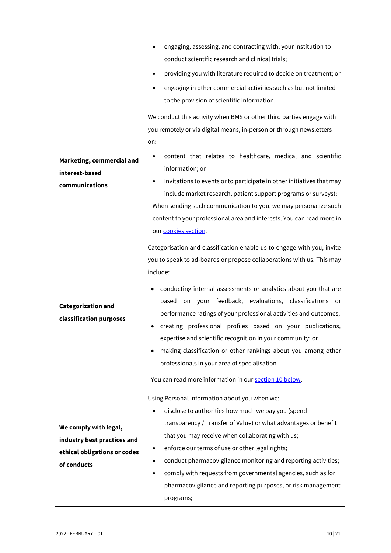|                                                                                                     | engaging, assessing, and contracting with, your institution to<br>٠                                                                                                                                                                                                                                                                                                                                                                                                                                                  |
|-----------------------------------------------------------------------------------------------------|----------------------------------------------------------------------------------------------------------------------------------------------------------------------------------------------------------------------------------------------------------------------------------------------------------------------------------------------------------------------------------------------------------------------------------------------------------------------------------------------------------------------|
|                                                                                                     | conduct scientific research and clinical trials;                                                                                                                                                                                                                                                                                                                                                                                                                                                                     |
|                                                                                                     | providing you with literature required to decide on treatment; or<br>٠                                                                                                                                                                                                                                                                                                                                                                                                                                               |
|                                                                                                     | engaging in other commercial activities such as but not limited<br>٠                                                                                                                                                                                                                                                                                                                                                                                                                                                 |
|                                                                                                     | to the provision of scientific information.                                                                                                                                                                                                                                                                                                                                                                                                                                                                          |
|                                                                                                     | We conduct this activity when BMS or other third parties engage with                                                                                                                                                                                                                                                                                                                                                                                                                                                 |
|                                                                                                     | you remotely or via digital means, in-person or through newsletters                                                                                                                                                                                                                                                                                                                                                                                                                                                  |
|                                                                                                     | on:                                                                                                                                                                                                                                                                                                                                                                                                                                                                                                                  |
| Marketing, commercial and<br>interest-based                                                         | content that relates to healthcare, medical and scientific<br>information; or                                                                                                                                                                                                                                                                                                                                                                                                                                        |
| communications                                                                                      | invitations to events or to participate in other initiatives that may                                                                                                                                                                                                                                                                                                                                                                                                                                                |
|                                                                                                     | include market research, patient support programs or surveys);                                                                                                                                                                                                                                                                                                                                                                                                                                                       |
|                                                                                                     | When sending such communication to you, we may personalize such                                                                                                                                                                                                                                                                                                                                                                                                                                                      |
|                                                                                                     | content to your professional area and interests. You can read more in                                                                                                                                                                                                                                                                                                                                                                                                                                                |
|                                                                                                     | our cookies section.                                                                                                                                                                                                                                                                                                                                                                                                                                                                                                 |
|                                                                                                     | Categorisation and classification enable us to engage with you, invite<br>you to speak to ad-boards or propose collaborations with us. This may<br>include:                                                                                                                                                                                                                                                                                                                                                          |
| <b>Categorization and</b><br>classification purposes                                                | conducting internal assessments or analytics about you that are<br>on your feedback, evaluations, classifications<br>based<br><b>or</b><br>performance ratings of your professional activities and outcomes;<br>creating professional profiles based on your publications,<br>expertise and scientific recognition in your community; or<br>making classification or other rankings about you among other<br>professionals in your area of specialisation.<br>You can read more information in our section 10 below. |
|                                                                                                     | Using Personal Information about you when we:                                                                                                                                                                                                                                                                                                                                                                                                                                                                        |
| We comply with legal,<br>industry best practices and<br>ethical obligations or codes<br>of conducts | disclose to authorities how much we pay you (spend<br>$\bullet$<br>transparency / Transfer of Value) or what advantages or benefit<br>that you may receive when collaborating with us;<br>enforce our terms of use or other legal rights;<br>٠<br>conduct pharmacovigilance monitoring and reporting activities;<br>$\bullet$<br>comply with requests from governmental agencies, such as for<br>$\bullet$<br>pharmacovigilance and reporting purposes, or risk management<br>programs;                              |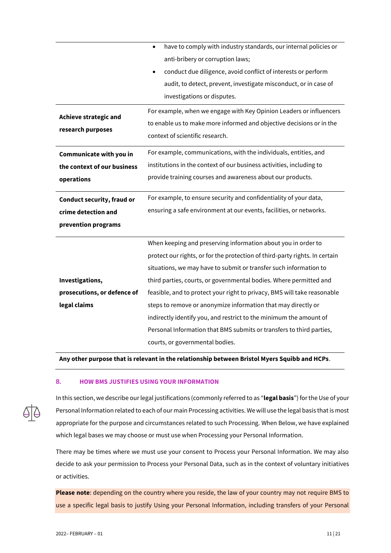|                                                          | have to comply with industry standards, our internal policies or<br>$\bullet$ |
|----------------------------------------------------------|-------------------------------------------------------------------------------|
|                                                          | anti-bribery or corruption laws;                                              |
|                                                          | conduct due diligence, avoid conflict of interests or perform                 |
|                                                          | audit, to detect, prevent, investigate misconduct, or in case of              |
|                                                          | investigations or disputes.                                                   |
| <b>Achieve strategic and</b>                             | For example, when we engage with Key Opinion Leaders or influencers           |
| research purposes                                        | to enable us to make more informed and objective decisions or in the          |
|                                                          | context of scientific research.                                               |
| Communicate with you in                                  | For example, communications, with the individuals, entities, and              |
| the context of our business                              | institutions in the context of our business activities, including to          |
| operations                                               | provide training courses and awareness about our products.                    |
|                                                          |                                                                               |
|                                                          | For example, to ensure security and confidentiality of your data,             |
| <b>Conduct security, fraud or</b><br>crime detection and | ensuring a safe environment at our events, facilities, or networks.           |
| prevention programs                                      |                                                                               |
|                                                          | When keeping and preserving information about you in order to                 |
|                                                          | protect our rights, or for the protection of third-party rights. In certain   |
|                                                          | situations, we may have to submit or transfer such information to             |
| Investigations,                                          | third parties, courts, or governmental bodies. Where permitted and            |
| prosecutions, or defence of                              | feasible, and to protect your right to privacy, BMS will take reasonable      |
| legal claims                                             | steps to remove or anonymize information that may directly or                 |
|                                                          | indirectly identify you, and restrict to the minimum the amount of            |
|                                                          | Personal Information that BMS submits or transfers to third parties,          |

**Any other purpose that is relevant in the relationship between Bristol Myers Squibb and HCPs**.

#### **8. HOW BMS JUSTIFIES USING YOUR INFORMATION**



In this section, we describe our legal justifications (commonly referred to as "**legal basis**") for the Use of your Personal Information related to each of our main Processing activities. We will use the legal basis that is most appropriate for the purpose and circumstances related to such Processing. When Below, we have explained which legal bases we may choose or must use when Processing your Personal Information.

There may be times where we must use your consent to Process your Personal Information. We may also decide to ask your permission to Process your Personal Data, such as in the context of voluntary initiatives or activities.

**Please note**: depending on the country where you reside, the law of your country may not require BMS to use a specific legal basis to justify Using your Personal Information, including transfers of your Personal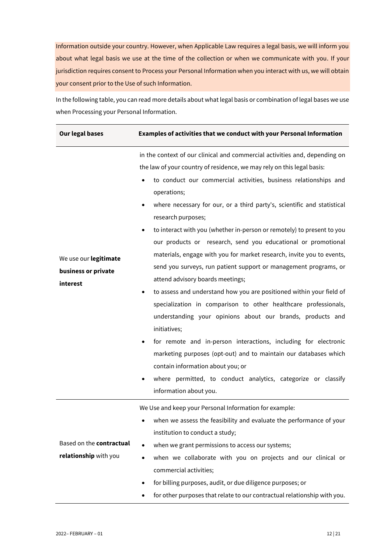Information outside your country. However, when Applicable Law requires a legal basis, we will inform you about what legal basis we use at the time of the collection or when we communicate with you. If your jurisdiction requires consent to Process your Personal Information when you interact with us, we will obtain your consent prior to the Use of such Information.

In the following table, you can read more details about what legal basis or combination of legal bases we use when Processing your Personal Information.

| <b>Our legal bases</b>                                   | Examples of activities that we conduct with your Personal Information                                                                                                                                                                                                                                                                                                                                                                                                                                                                                                                                                                                                                                                                                                                                                                                                                                                                                                                                                                                                                                                                                                                                 |
|----------------------------------------------------------|-------------------------------------------------------------------------------------------------------------------------------------------------------------------------------------------------------------------------------------------------------------------------------------------------------------------------------------------------------------------------------------------------------------------------------------------------------------------------------------------------------------------------------------------------------------------------------------------------------------------------------------------------------------------------------------------------------------------------------------------------------------------------------------------------------------------------------------------------------------------------------------------------------------------------------------------------------------------------------------------------------------------------------------------------------------------------------------------------------------------------------------------------------------------------------------------------------|
| We use our legitimate<br>business or private<br>interest | in the context of our clinical and commercial activities and, depending on<br>the law of your country of residence, we may rely on this legal basis:<br>to conduct our commercial activities, business relationships and<br>operations;<br>where necessary for our, or a third party's, scientific and statistical<br>$\bullet$<br>research purposes;<br>to interact with you (whether in-person or remotely) to present to you<br>٠<br>our products or research, send you educational or promotional<br>materials, engage with you for market research, invite you to events,<br>send you surveys, run patient support or management programs, or<br>attend advisory boards meetings;<br>to assess and understand how you are positioned within your field of<br>٠<br>specialization in comparison to other healthcare professionals,<br>understanding your opinions about our brands, products and<br>initiatives;<br>for remote and in-person interactions, including for electronic<br>٠<br>marketing purposes (opt-out) and to maintain our databases which<br>contain information about you; or<br>where permitted, to conduct analytics, categorize or classify<br>٠<br>information about you. |
| Based on the contractual<br>relationship with you        | We Use and keep your Personal Information for example:<br>when we assess the feasibility and evaluate the performance of your<br>institution to conduct a study;<br>when we grant permissions to access our systems;<br>$\bullet$<br>when we collaborate with you on projects and our clinical or<br>$\bullet$<br>commercial activities;<br>for billing purposes, audit, or due diligence purposes; or<br>$\bullet$<br>for other purposes that relate to our contractual relationship with you.                                                                                                                                                                                                                                                                                                                                                                                                                                                                                                                                                                                                                                                                                                       |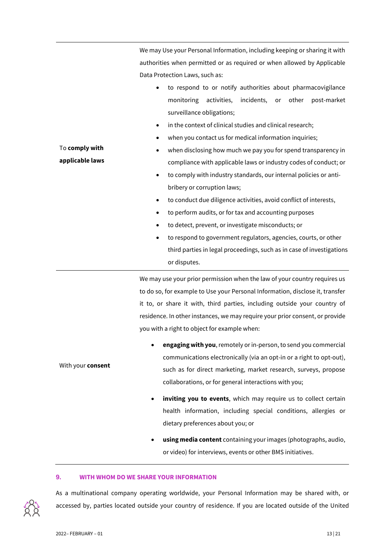|                                   | We may Use your Personal Information, including keeping or sharing it with                                                                                                                                                                                                                                                                                                                                                                                                                                                                                                                                                                                                                                                                                                             |
|-----------------------------------|----------------------------------------------------------------------------------------------------------------------------------------------------------------------------------------------------------------------------------------------------------------------------------------------------------------------------------------------------------------------------------------------------------------------------------------------------------------------------------------------------------------------------------------------------------------------------------------------------------------------------------------------------------------------------------------------------------------------------------------------------------------------------------------|
|                                   | authorities when permitted or as required or when allowed by Applicable                                                                                                                                                                                                                                                                                                                                                                                                                                                                                                                                                                                                                                                                                                                |
|                                   | Data Protection Laws, such as:                                                                                                                                                                                                                                                                                                                                                                                                                                                                                                                                                                                                                                                                                                                                                         |
| To comply with<br>applicable laws | to respond to or notify authorities about pharmacovigilance<br>$\bullet$<br>monitoring<br>activities,<br>incidents,<br>other<br>post-market<br>or<br>surveillance obligations;<br>in the context of clinical studies and clinical research;<br>$\bullet$<br>when you contact us for medical information inquiries;<br>when disclosing how much we pay you for spend transparency in<br>compliance with applicable laws or industry codes of conduct; or<br>to comply with industry standards, our internal policies or anti-<br>$\bullet$<br>bribery or corruption laws;<br>to conduct due diligence activities, avoid conflict of interests,<br>$\bullet$<br>to perform audits, or for tax and accounting purposes<br>$\bullet$<br>to detect, prevent, or investigate misconducts; or |
|                                   | to respond to government regulators, agencies, courts, or other<br>٠<br>third parties in legal proceedings, such as in case of investigations                                                                                                                                                                                                                                                                                                                                                                                                                                                                                                                                                                                                                                          |
|                                   | or disputes.                                                                                                                                                                                                                                                                                                                                                                                                                                                                                                                                                                                                                                                                                                                                                                           |
|                                   | We may use your prior permission when the law of your country requires us<br>to do so, for example to Use your Personal Information, disclose it, transfer                                                                                                                                                                                                                                                                                                                                                                                                                                                                                                                                                                                                                             |
|                                   | it to, or share it with, third parties, including outside your country of                                                                                                                                                                                                                                                                                                                                                                                                                                                                                                                                                                                                                                                                                                              |
|                                   | residence. In other instances, we may require your prior consent, or provide                                                                                                                                                                                                                                                                                                                                                                                                                                                                                                                                                                                                                                                                                                           |
|                                   | you with a right to object for example when:                                                                                                                                                                                                                                                                                                                                                                                                                                                                                                                                                                                                                                                                                                                                           |
|                                   | angaging with you remately arin nercen to candyou commercial                                                                                                                                                                                                                                                                                                                                                                                                                                                                                                                                                                                                                                                                                                                           |

- **engaging with you**, remotely or in-person, to send you commercial communications electronically (via an opt-in or a right to opt-out), such as for direct marketing, market research, surveys, propose collaborations, or for general interactions with you;
	- inviting you to events, which may require us to collect certain health information, including special conditions, allergies or dietary preferences about you; or
	- **using media content** containing your images (photographs, audio, or video) for interviews, events or other BMS initiatives.

#### **9. WITH WHOM DO WE SHARE YOUR INFORMATION**

As a multinational company operating worldwide, your Personal Information may be shared with, or accessed by, parties located outside your country of residence. If you are located outside of the United

With your **consent**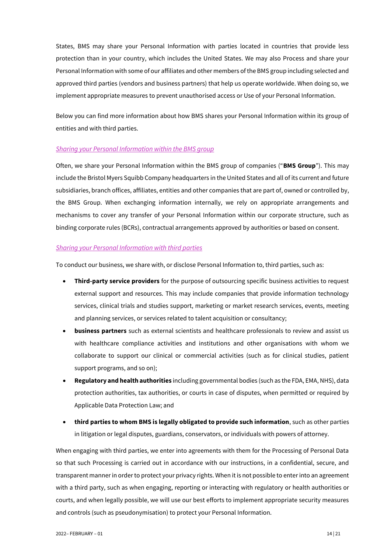States, BMS may share your Personal Information with parties located in countries that provide less protection than in your country, which includes the United States. We may also Process and share your Personal Information with some of our affiliates and other members of the BMS group including selected and approved third parties (vendors and business partners) that help us operate worldwide. When doing so, we implement appropriate measures to prevent unauthorised access or Use of your Personal Information.

Below you can find more information about how BMS shares your Personal Information within its group of entities and with third parties.

## *Sharing your Personal Information within the BMS group*

Often, we share your Personal Information within the BMS group of companies ("**BMS Group**"). This may include the Bristol Myers Squibb Company headquarters in the United States and all of its current and future subsidiaries, branch offices, affiliates, entities and other companies that are part of, owned or controlled by, the BMS Group. When exchanging information internally, we rely on appropriate arrangements and mechanisms to cover any transfer of your Personal Information within our corporate structure, such as binding corporate rules (BCRs), contractual arrangements approved by authorities or based on consent.

#### *Sharing your Personal Information with third parties*

To conduct our business, we share with, or disclose Personal Information to, third parties, such as:

- **Third-party service providers** for the purpose of outsourcing specific business activities to request external support and resources. This may include companies that provide information technology services, clinical trials and studies support, marketing or market research services, events, meeting and planning services, or services related to talent acquisition or consultancy;
- **business partners** such as external scientists and healthcare professionals to review and assist us with healthcare compliance activities and institutions and other organisations with whom we collaborate to support our clinical or commercial activities (such as for clinical studies, patient support programs, and so on);
- **Regulatory and health authorities** including governmental bodies (such as the FDA, EMA, NHS), data protection authorities, tax authorities, or courts in case of disputes, when permitted or required by Applicable Data Protection Law; and
- **third parties to whom BMS is legally obligated to provide such information**, such as other parties in litigation or legal disputes, guardians, conservators, or individuals with powers of attorney.

When engaging with third parties, we enter into agreements with them for the Processing of Personal Data so that such Processing is carried out in accordance with our instructions, in a confidential, secure, and transparent manner in order to protect your privacy rights. When it is not possible to enter into an agreement with a third party, such as when engaging, reporting or interacting with regulatory or health authorities or courts, and when legally possible, we will use our best efforts to implement appropriate security measures and controls (such as pseudonymisation) to protect your Personal Information.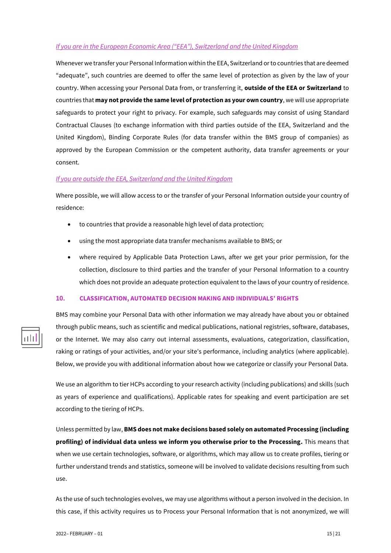## *If you are in the European Economic Area ("EEA"), Switzerland and the United Kingdom*

Whenever we transfer your Personal Information within the EEA, Switzerland or to countries that are deemed "adequate", such countries are deemed to offer the same level of protection as given by the law of your country. When accessing your Personal Data from, or transferring it, **outside of the EEA or Switzerland** to countries that **may not provide the same level of protection as your own country**, we will use appropriate safeguards to protect your right to privacy. For example, such safeguards may consist of using Standard Contractual Clauses (to exchange information with third parties outside of the EEA, Switzerland and the United Kingdom), Binding Corporate Rules (for data transfer within the BMS group of companies) as approved by the European Commission or the competent authority, data transfer agreements or your consent.

#### *If you are outside the EEA, Switzerland and the United Kingdom*

Where possible, we will allow access to or the transfer of your Personal Information outside your country of residence:

- to countries that provide a reasonable high level of data protection;
- using the most appropriate data transfer mechanisms available to BMS; or
- where required by Applicable Data Protection Laws, after we get your prior permission, for the collection, disclosure to third parties and the transfer of your Personal Information to a country which does not provide an adequate protection equivalent to the laws of your country of residence.

## <span id="page-14-0"></span>**10. CLASSIFICATION, AUTOMATED DECISION MAKING AND INDIVIDUALS' RIGHTS**

BMS may combine your Personal Data with other information we may already have about you or obtained through public means, such as scientific and medical publications, national registries, software, databases, or the Internet. We may also carry out internal assessments, evaluations, categorization, classification, raking or ratings of your activities, and/or your site's performance, including analytics (where applicable). Below, we provide you with additional information about how we categorize or classify your Personal Data.

We use an algorithm to tier HCPs according to your research activity (including publications) and skills (such as years of experience and qualifications). Applicable rates for speaking and event participation are set according to the tiering of HCPs.

Unless permitted by law, **BMS does not make decisions based solely on automated Processing (including profiling) of individual data unless we inform you otherwise prior to the Processing.** This means that when we use certain technologies, software, or algorithms, which may allow us to create profiles, tiering or further understand trends and statistics, someone will be involved to validate decisions resulting from such use.

As the use of such technologies evolves, we may use algorithms without a person involved in the decision. In this case, if this activity requires us to Process your Personal Information that is not anonymized, we will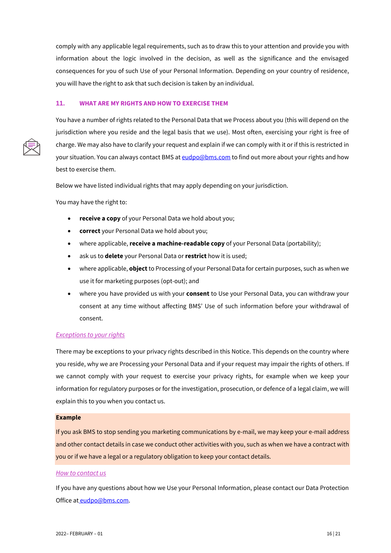comply with any applicable legal requirements, such as to draw this to your attention and provide you with information about the logic involved in the decision, as well as the significance and the envisaged consequences for you of such Use of your Personal Information. Depending on your country of residence, you will have the right to ask that such decision is taken by an individual.

#### **11. WHAT ARE MY RIGHTS AND HOW TO EXERCISE THEM**

You have a number of rights related to the Personal Data that we Process about you (this will depend on the jurisdiction where you reside and the legal basis that we use). Most often, exercising your right is free of charge. We may also have to clarify your request and explain if we can comply with it or if this is restricted in your situation. You can always contact BMS a[t eudpo@bms.com](mailto:eudpo@bms.com) to find out more about your rights and how best to exercise them.

Below we have listed individual rights that may apply depending on your jurisdiction.

You may have the right to:

- **receive a copy** of your Personal Data we hold about you;
- **correct** your Personal Data we hold about you;
- where applicable, **receive a machine-readable copy** of your Personal Data (portability);
- ask us to **delete** your Personal Data or **restrict** how it is used;
- where applicable, **object**to Processing of your Personal Data for certain purposes, such as when we use it for marketing purposes (opt-out); and
- where you have provided us with your **consent** to Use your Personal Data, you can withdraw your consent at any time without affecting BMS' Use of such information before your withdrawal of consent.

#### *Exceptions to your rights*

There may be exceptions to your privacy rights described in this Notice. This depends on the country where you reside, why we are Processing your Personal Data and if your request may impair the rights of others. If we cannot comply with your request to exercise your privacy rights, for example when we keep your information for regulatory purposes or for the investigation, prosecution, or defence of a legal claim, we will explain this to you when you contact us.

#### **Example**

If you ask BMS to stop sending you marketing communications by e-mail, we may keep your e-mail address and other contact details in case we conduct other activities with you, such as when we have a contract with you or if we have a legal or a regulatory obligation to keep your contact details.

#### *How to contact us*

If you have any questions about how we Use your Personal Information, please contact our Data Protection Office at [eudpo@bms.com.](mailto:eudpo@bms.com)

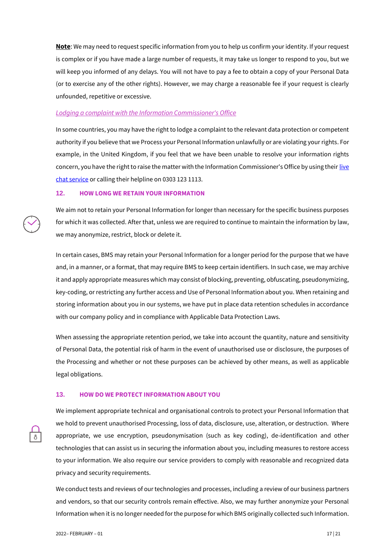**Note**: We may need to request specific information from you to help us confirm your identity. If your request is complex or if you have made a large number of requests, it may take us longer to respond to you, but we will keep you informed of any delays. You will not have to pay a fee to obtain a copy of your Personal Data (or to exercise any of the other rights). However, we may charge a reasonable fee if your request is clearly unfounded, repetitive or excessive.

#### *Lodging a complaint with the Information Commissioner's Office*

In some countries, you may have the right to lodge a complaint to the relevant data protection or competent authority if you believe that we Process your Personal Information unlawfully or are violating your rights. For example, in the United Kingdom, if you feel that we have been unable to resolve your information rights concern, you have the right to raise the matter with the Information Commissioner's Office by using their live [chat service](https://ico.org.uk/global/contact-us/live-chat) or calling their helpline on 0303 123 1113.

#### **12. HOW LONG WE RETAIN YOUR INFORMATION**

We aim not to retain your Personal Information for longer than necessary for the specific business purposes for which it was collected. After that, unless we are required to continue to maintain the information by law, we may anonymize, restrict, block or delete it.

In certain cases, BMS may retain your Personal Information for a longer period for the purpose that we have and, in a manner, or a format, that may require BMS to keep certain identifiers. In such case, we may archive it and apply appropriate measures which may consist of blocking, preventing, obfuscating, pseudonymizing, key-coding, or restricting any further access and Use of Personal Information about you. When retaining and storing information about you in our systems, we have put in place data retention schedules in accordance with our company policy and in compliance with Applicable Data Protection Laws.

When assessing the appropriate retention period, we take into account the quantity, nature and sensitivity of Personal Data, the potential risk of harm in the event of unauthorised use or disclosure, the purposes of the Processing and whether or not these purposes can be achieved by other means, as well as applicable legal obligations.

#### **13. HOW DO WE PROTECT INFORMATION ABOUT YOU**



We implement appropriate technical and organisational controls to protect your Personal Information that we hold to prevent unauthorised Processing, loss of data, disclosure, use, alteration, or destruction. Where appropriate, we use encryption, pseudonymisation (such as key coding), de-identification and other technologies that can assist us in securing the information about you, including measures to restore access to your information. We also require our service providers to comply with reasonable and recognized data privacy and security requirements.

We conduct tests and reviews of our technologies and processes, including a review of our business partners and vendors, so that our security controls remain effective. Also, we may further anonymize your Personal Information when it is no longer needed for the purpose for which BMS originally collected such Information.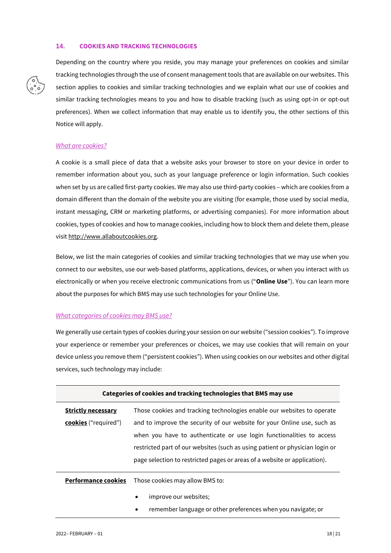#### <span id="page-17-0"></span>**14. COOKIES AND TRACKING TECHNOLOGIES**



Depending on the country where you reside, you may manage your preferences on cookies and similar tracking technologies through the use of consent management tools that are available on our websites. This section applies to cookies and similar tracking technologies and we explain what our use of cookies and similar tracking technologies means to you and how to disable tracking (such as using opt-in or opt-out preferences). When we collect information that may enable us to identify you, the other sections of this Notice will apply.

#### *What are cookies?*

A cookie is a small piece of data that a website asks your browser to store on your device in order to remember information about you, such as your language preference or login information. Such cookies when set by us are called first-party cookies. We may also use third-party cookies – which are cookies from a domain different than the domain of the website you are visiting (for example, those used by social media, instant messaging, CRM or marketing platforms, or advertising companies). For more information about cookies, types of cookies and how to manage cookies, including how to block them and delete them, please visi[t http://www.allaboutcookies.org.](http://www.allaboutcookies.org/)

Below, we list the main categories of cookies and similar tracking technologies that we may use when you connect to our websites, use our web-based platforms, applications, devices, or when you interact with us electronically or when you receive electronic communications from us ("**Online Use**"). You can learn more about the purposes for which BMS may use such technologies for your Online Use.

#### *What categories of cookies may BMS use?*

We generally use certain types of cookies during your session on our website ("session cookies"). To improve your experience or remember your preferences or choices, we may use cookies that will remain on your device unless you remove them ("persistent cookies"). When using cookies on our websites and other digital services, such technology may include:

| Categories of cookies and tracking technologies that BMS may use |                                                                              |
|------------------------------------------------------------------|------------------------------------------------------------------------------|
| <b>Strictly necessary</b>                                        | Those cookies and tracking technologies enable our websites to operate       |
| cookies ("required")                                             | and to improve the security of our website for your Online use, such as      |
|                                                                  | when you have to authenticate or use login functionalities to access         |
|                                                                  | restricted part of our websites (such as using patient or physician login or |
|                                                                  | page selection to restricted pages or areas of a website or application).    |
| <b>Performance cookies</b>                                       | Those cookies may allow BMS to:                                              |
|                                                                  | improve our websites;<br>٠                                                   |
|                                                                  | remember language or other preferences when you navigate; or<br>٠            |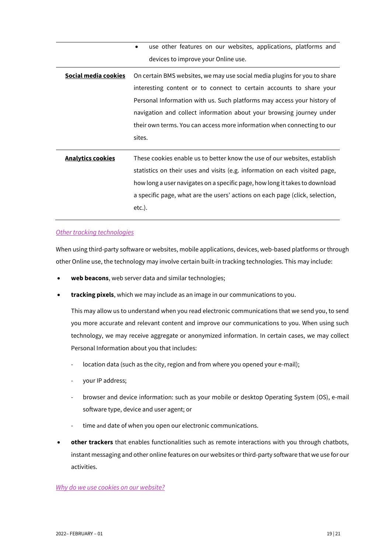|                          | use other features on our websites, applications, platforms and<br>$\bullet$ |
|--------------------------|------------------------------------------------------------------------------|
|                          | devices to improve your Online use.                                          |
| Social media cookies     | On certain BMS websites, we may use social media plugins for you to share    |
|                          | interesting content or to connect to certain accounts to share your          |
|                          | Personal Information with us. Such platforms may access your history of      |
|                          | navigation and collect information about your browsing journey under         |
|                          | their own terms. You can access more information when connecting to our      |
|                          | sites.                                                                       |
|                          |                                                                              |
| <b>Analytics cookies</b> | These cookies enable us to better know the use of our websites, establish    |
|                          | ctatictics on thoir uses and visits (e.g. information on each visited page   |

statistics on their uses and visits (e.g. information on each visited page, how long a user navigates on a specific page, how long it takes to download a specific page, what are the users' actions on each page (click, selection, etc.).

## *Other tracking technologies*

When using third-party software or websites, mobile applications, devices, web-based platforms or through other Online use, the technology may involve certain built-in tracking technologies. This may include:

- **web beacons**, web server data and similar technologies;
- **tracking pixels**, which we may include as an image in our communications to you.

This may allow us to understand when you read electronic communications that we send you, to send you more accurate and relevant content and improve our communications to you. When using such technology, we may receive aggregate or anonymized information. In certain cases, we may collect Personal Information about you that includes:

- location data (such as the city, region and from where you opened your e-mail);
- your IP address;
- browser and device information: such as your mobile or desktop Operating System (OS), e-mail software type, device and user agent; or
- time and date of when you open our electronic communications.
- **other trackers** that enables functionalities such as remote interactions with you through chatbots, instant messaging and other online features on our websites or third-party software that we use for our activities.

#### *Why do we use cookies on our website?*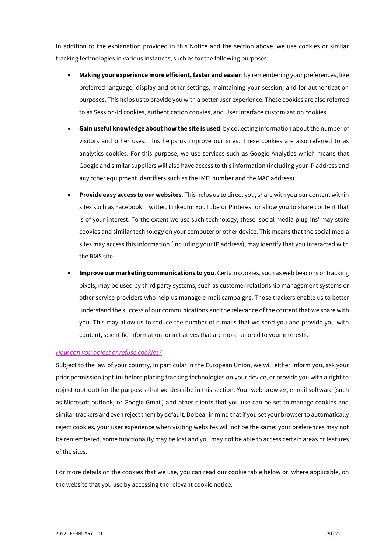In addition to the explanation provided in this Notice and the section above, we use cookies or similar tracking technologies in various instances, such as for the following purposes:

- **Making your experience more efficient, faster and easier**: by remembering your preferences, like preferred language, display and other settings, maintaining your session, and for authentication purposes. This helps us to provide you with a better user experience. These cookies are also referred to as Session-Id cookies, authentication cookies, and User Interface customization cookies.
- **Gain useful knowledge about how the site is used**: by collecting information about the number of visitors and other uses. This helps us improve our sites. These cookies are also referred to as analytics cookies. For this purpose, we use services such as Google Analytics which means that Google and similar suppliers will also have access to this information (including your IP address and any other equipment identifiers such as the IMEI number and the MAC address).
- **Provide easy access to our websites**. This helps us to direct you, share with you our content within sites such as Facebook, Twitter, LinkedIn, YouTube or Pinterest or allow you to share content that is of your interest. To the extent we use such technology, these 'social media plug-ins' may store cookies and similar technology on your computer or other device. This means that the social media sites may access this information (including your IP address), may identify that you interacted with the BMS site.
- **Improve our marketing communications to you**. Certain cookies, such as web beacons or tracking pixels, may be used by third party systems, such as customer relationship management systems or other service providers who help us manage e-mail campaigns. Those trackers enable us to better understand the success of our communications and the relevance of the content that we share with you. This may allow us to reduce the number of e-mails that we send you and provide you with content, scientific information, or initiatives that are more tailored to your interests.

#### *How can you object or refuse cookies?*

Subject to the law of your country, in particular in the European Union, we will either inform you, ask your prior permission (opt-in) before placing tracking technologies on your device, or provide you with a right to object (opt-out) for the purposes that we describe in this section. Your web browser, e-mail software (such as Microsoft outlook, or Google Gmail) and other clients that you use can be set to manage cookies and similar trackers and even reject them by default. Do bear in mind that if you set your browser to automatically reject cookies, your user experience when visiting websites will not be the same: your preferences may not be remembered, some functionality may be lost and you may not be able to access certain areas or features of the sites.

For more details on the cookies that we use, you can read our cookie table below or, where applicable, on the website that you use by accessing the relevant cookie notice.